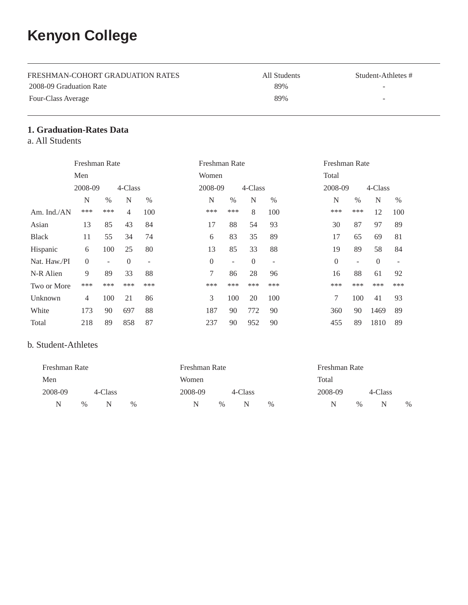# **Kenyon College**

| FRESHMAN-COHORT GRADUATION RATES | All Students | Student-Athletes # |
|----------------------------------|--------------|--------------------|
| 2008-09 Graduation Rate          | 89%          |                    |
| Four-Class Average               | 89%          | -                  |

## **1. Graduation-Rates Data**

a. All Students

|              | Freshman Rate |      |                |                          |                | Freshman Rate            |                  |                          | Freshman Rate    |      |          |      |
|--------------|---------------|------|----------------|--------------------------|----------------|--------------------------|------------------|--------------------------|------------------|------|----------|------|
|              | Men           |      |                |                          | Women          |                          |                  |                          | Total            |      |          |      |
|              | 2008-09       |      | 4-Class        |                          | 2008-09        |                          | 4-Class          |                          | 2008-09          |      | 4-Class  |      |
|              | N             | $\%$ | N              | $\%$                     | N              | $\%$                     | N                | $\%$                     | N                | $\%$ | N        | $\%$ |
| Am. Ind./AN  | ***           | ***  | $\overline{4}$ | 100                      | ***            | ***                      | 8                | 100                      | ***              | ***  | 12       | 100  |
| Asian        | 13            | 85   | 43             | 84                       | 17             | 88                       | 54               | 93                       | 30               | 87   | 97       | 89   |
| <b>Black</b> | 11            | 55   | 34             | 74                       | 6              | 83                       | 35               | 89                       | 17               | 65   | 69       | 81   |
| Hispanic     | 6             | 100  | 25             | 80                       | 13             | 85                       | 33               | 88                       | 19               | 89   | 58       | 84   |
| Nat. Haw./PI | $\Omega$      | ٠    | $\theta$       | $\overline{\phantom{m}}$ | $\overline{0}$ | $\overline{\phantom{a}}$ | $\boldsymbol{0}$ | $\overline{\phantom{a}}$ | $\boldsymbol{0}$ |      | $\theta$ |      |
| N-R Alien    | 9             | 89   | 33             | 88                       | $\tau$         | 86                       | 28               | 96                       | 16               | 88   | 61       | 92   |
| Two or More  | ***           | ***  | ***            | ***                      | ***            | ***                      | ***              | ***                      | ***              | ***  | ***      | ***  |
| Unknown      | 4             | 100  | 21             | 86                       | 3              | 100                      | 20               | 100                      | 7                | 100  | 41       | 93   |
| White        | 173           | 90   | 697            | 88                       | 187            | 90                       | 772              | 90                       | 360              | 90   | 1469     | 89   |
| Total        | 218           | 89   | 858            | 87                       | 237            | 90                       | 952              | 90                       | 455              | 89   | 1810     | 89   |

### b. Student-Athletes

| Freshman Rate |      |         |      | Freshman Rate |      |         |   |      | Freshman Rate |      |         |      |
|---------------|------|---------|------|---------------|------|---------|---|------|---------------|------|---------|------|
| Men           |      |         |      | Women         |      |         |   |      | Total         |      |         |      |
| 2008-09       |      | 4-Class |      | 2008-09       |      | 4-Class |   |      | 2008-09       |      | 4-Class |      |
| N             | $\%$ | N       | $\%$ | N             | $\%$ |         | N | $\%$ |               | $\%$ | N       | $\%$ |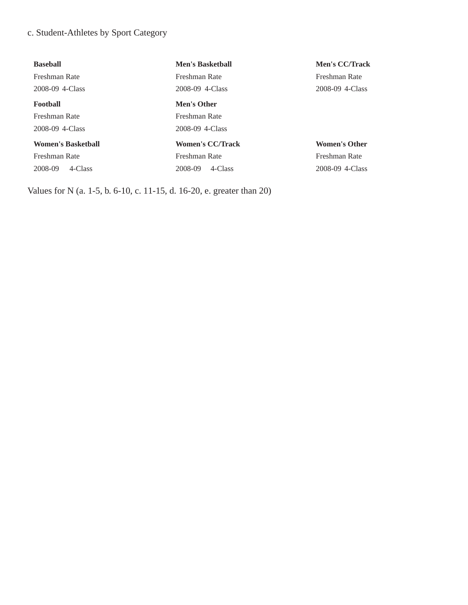## c. Student-Athletes by Sport Category

| <b>Baseball</b>           | <b>Men's Basketball</b> | <b>Men's CC/Track</b> |
|---------------------------|-------------------------|-----------------------|
| Freshman Rate             | Freshman Rate           | Freshman Rate         |
| 2008-09 4-Class           | 2008-09 4-Class         | 2008-09 4-Class       |
| <b>Football</b>           | Men's Other             |                       |
| Freshman Rate             | Freshman Rate           |                       |
| 2008-09 4-Class           | 2008-09 4-Class         |                       |
| <b>Women's Basketball</b> | <b>Women's CC/Track</b> | <b>Women's Other</b>  |
| Freshman Rate             | Freshman Rate           | Freshman Rate         |
| 4-Class<br>2008-09        | 4-Class<br>2008-09      | 2008-09 4-Class       |
|                           |                         |                       |

Values for N (a. 1-5, b. 6-10, c. 11-15, d. 16-20, e. greater than 20)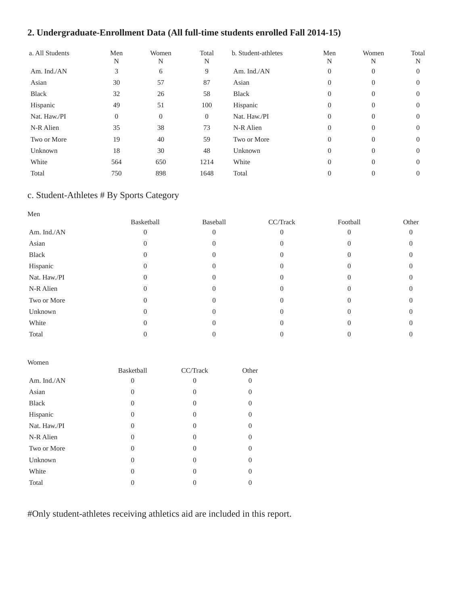## **2. Undergraduate-Enrollment Data (All full-time students enrolled Fall 2014-15)**

| a. All Students | Men<br>N       | Women<br>N | Total<br>N     | b. Student-athletes | Men<br>N       | Women<br>N | Total<br>N |
|-----------------|----------------|------------|----------------|---------------------|----------------|------------|------------|
| Am. Ind./AN     | 3              | 6          | 9              | Am. Ind./AN         | $\theta$       | $\theta$   | $\Omega$   |
| Asian           | 30             | 57         | 87             | Asian               | $\theta$       | $\Omega$   | $\Omega$   |
| <b>Black</b>    | 32             | 26         | 58             | Black               | $\overline{0}$ | $\theta$   | 0          |
| Hispanic        | 49             | 51         | 100            | Hispanic            | $\overline{0}$ | $\Omega$   | $\Omega$   |
| Nat. Haw./PI    | $\overline{0}$ | $\Omega$   | $\overline{0}$ | Nat. Haw./PI        | $\Omega$       | $\Omega$   | $\Omega$   |
| N-R Alien       | 35             | 38         | 73             | N-R Alien           | $\Omega$       | $\Omega$   | $\Omega$   |
| Two or More     | 19             | 40         | 59             | Two or More         | $\overline{0}$ | $\Omega$   | $\Omega$   |
| Unknown         | 18             | 30         | 48             | Unknown             | $\theta$       | $\Omega$   | $\Omega$   |
| White           | 564            | 650        | 1214           | White               | $\Omega$       | $\Omega$   | $\Omega$   |
| Total           | 750            | 898        | 1648           | Total               | $\Omega$       | 0          | 0          |

## c. Student-Athletes # By Sports Category

| Men          |            |          |          |          |       |
|--------------|------------|----------|----------|----------|-------|
|              | Basketball | Baseball | CC/Track | Football | Other |
| Am. Ind./AN  |            |          | $\Omega$ |          | 0     |
| Asian        |            |          | $\cup$   |          |       |
| Black        |            |          | 0        |          |       |
| Hispanic     |            |          |          |          |       |
| Nat. Haw./PI |            |          |          |          |       |
| N-R Alien    |            | 0        | 0        |          |       |
| Two or More  |            |          |          |          |       |
| Unknown      |            |          | $\cup$   |          |       |
| White        |            |          |          |          |       |
| Total        |            |          |          |          |       |

| Women        |                  |          |       |
|--------------|------------------|----------|-------|
|              | Basketball       | CC/Track | Other |
| Am. Ind./AN  | $\left( \right)$ | $\theta$ |       |
| Asian        | $\left( \right)$ | $\theta$ | 0     |
| <b>Black</b> | $\theta$         | 0        | ∩     |
| Hispanic     | 0                | 0        |       |
| Nat. Haw./PI | $_{0}$           | $\theta$ | 0     |
| N-R Alien    | $\theta$         | 0        | ∩     |
| Two or More  | $\theta$         | 0        | 0     |
| Unknown      | $_{0}$           | $\Omega$ | 0     |
| White        | $\left( \right)$ | 0        |       |
| Total        |                  |          |       |

#Only student-athletes receiving athletics aid are included in this report.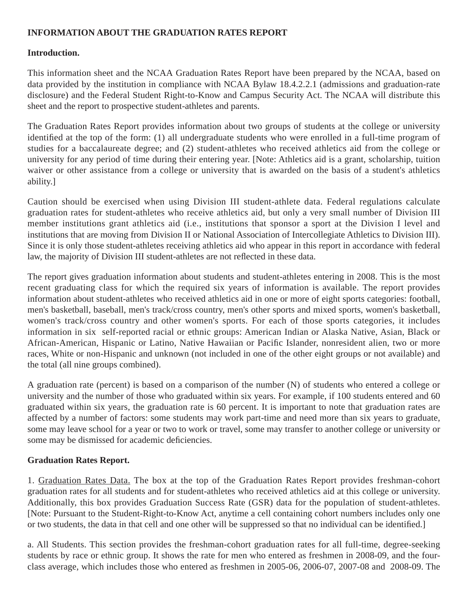### **INFORMATION ABOUT THE GRADUATION RATES REPORT**

#### **Introduction.**

This information sheet and the NCAA Graduation Rates Report have been prepared by the NCAA, based on data provided by the institution in compliance with NCAA Bylaw 18.4.2.2.1 (admissions and graduation-rate disclosure) and the Federal Student Right-to-Know and Campus Security Act. The NCAA will distribute this sheet and the report to prospective student-athletes and parents.

The Graduation Rates Report provides information about two groups of students at the college or university identified at the top of the form: (1) all undergraduate students who were enrolled in a full-time program of studies for a baccalaureate degree; and (2) student-athletes who received athletics aid from the college or university for any period of time during their entering year. [Note: Athletics aid is a grant, scholarship, tuition waiver or other assistance from a college or university that is awarded on the basis of a student's athletics ability.]

Caution should be exercised when using Division III student-athlete data. Federal regulations calculate graduation rates for student-athletes who receive athletics aid, but only a very small number of Division III member institutions grant athletics aid (i.e., institutions that sponsor a sport at the Division I level and institutions that are moving from Division II or National Association of Intercollegiate Athletics to Division III). Since it is only those student-athletes receiving athletics aid who appear in this report in accordance with federal law, the majority of Division III student-athletes are not reflected in these data.

The report gives graduation information about students and student-athletes entering in 2008. This is the most recent graduating class for which the required six years of information is available. The report provides information about student-athletes who received athletics aid in one or more of eight sports categories: football, men's basketball, baseball, men's track/cross country, men's other sports and mixed sports, women's basketball, women's track/cross country and other women's sports. For each of those sports categories, it includes information in six self-reported racial or ethnic groups: American Indian or Alaska Native, Asian, Black or African-American, Hispanic or Latino, Native Hawaiian or Pacific Islander, nonresident alien, two or more races, White or non-Hispanic and unknown (not included in one of the other eight groups or not available) and the total (all nine groups combined).

A graduation rate (percent) is based on a comparison of the number (N) of students who entered a college or university and the number of those who graduated within six years. For example, if 100 students entered and 60 graduated within six years, the graduation rate is 60 percent. It is important to note that graduation rates are affected by a number of factors: some students may work part-time and need more than six years to graduate, some may leave school for a year or two to work or travel, some may transfer to another college or university or some may be dismissed for academic deficiencies.

#### **Graduation Rates Report.**

1. Graduation Rates Data. The box at the top of the Graduation Rates Report provides freshman-cohort graduation rates for all students and for student-athletes who received athletics aid at this college or university. Additionally, this box provides Graduation Success Rate (GSR) data for the population of student-athletes. [Note: Pursuant to the Student-Right-to-Know Act, anytime a cell containing cohort numbers includes only one or two students, the data in that cell and one other will be suppressed so that no individual can be identified.]

a. All Students. This section provides the freshman-cohort graduation rates for all full-time, degree-seeking students by race or ethnic group. It shows the rate for men who entered as freshmen in 2008-09, and the fourclass average, which includes those who entered as freshmen in 2005-06, 2006-07, 2007-08 and 2008-09. The